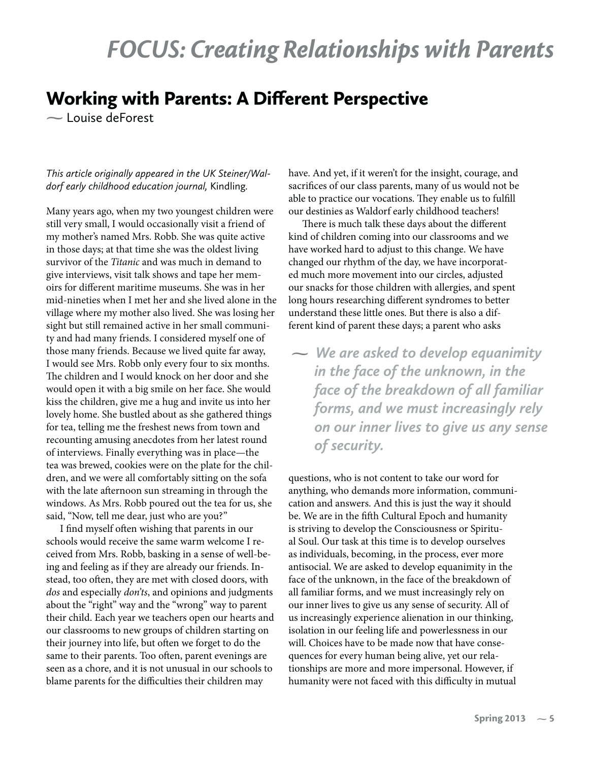## *FOCUS: Creating Relationships with Parents*

## Working with Parents: A Different Perspective

**-** Louise deForest

## *This article originally appeared in the UK Steiner/Waldorf early childhood education journal,* Kindling*.*

Many years ago, when my two youngest children were still very small, I would occasionally visit a friend of my mother's named Mrs. Robb. She was quite active in those days; at that time she was the oldest living survivor of the Titanic and was much in demand to give interviews, visit talk shows and tape her memoirs for different maritime museums. She was in her mid-nineties when I met her and she lived alone in the village where my mother also lived. She was losing her sight but still remained active in her small community and had many friends. I considered myself one of those many friends. Because we lived quite far away, I would see Mrs. Robb only every four to six months. The children and I would knock on her door and she would open it with a big smile on her face. She would kiss the children, give me a hug and invite us into her lovely home. She bustled about as she gathered things for tea, telling me the freshest news from town and recounting amusing anecdotes from her latest round of interviews. Finally everything was in place—the tea was brewed, cookies were on the plate for the children, and we were all comfortably sitting on the sofa with the late afternoon sun streaming in through the windows. As Mrs. Robb poured out the tea for us, she said, "Now, tell me dear, just who are you?"

I find myself often wishing that parents in our schools would receive the same warm welcome I received from Mrs. Robb, basking in a sense of well-being and feeling as if they are already our friends. Instead, too often, they are met with closed doors, with dos and especially don'ts, and opinions and judgments about the "right" way and the "wrong" way to parent their child. Each year we teachers open our hearts and our classrooms to new groups of children starting on their journey into life, but often we forget to do the same to their parents. Too often, parent evenings are seen as a chore, and it is not unusual in our schools to blame parents for the difficulties their children may

have. And yet, if it weren't for the insight, courage, and sacrifices of our class parents, many of us would not be able to practice our vocations. They enable us to fulfill our destinies as Waldorf early childhood teachers!

There is much talk these days about the different kind of children coming into our classrooms and we have worked hard to adjust to this change. We have changed our rhythm of the day, we have incorporated much more movement into our circles, adjusted our snacks for those children with allergies, and spent long hours researching different syndromes to better understand these little ones. But there is also a different kind of parent these days; a parent who asks

**-** *We are asked to develop equanimity in the face of the unknown, in the face of the breakdown of all familiar forms, and we must increasingly rely on our inner lives to give us any sense of security.*

questions, who is not content to take our word for anything, who demands more information, communication and answers. And this is just the way it should be. We are in the fifth Cultural Epoch and humanity is striving to develop the Consciousness or Spiritual Soul. Our task at this time is to develop ourselves as individuals, becoming, in the process, ever more antisocial. We are asked to develop equanimity in the face of the unknown, in the face of the breakdown of all familiar forms, and we must increasingly rely on our inner lives to give us any sense of security. All of us increasingly experience alienation in our thinking, isolation in our feeling life and powerlessness in our will. Choices have to be made now that have consequences for every human being alive, yet our relationships are more and more impersonal. However, if humanity were not faced with this difficulty in mutual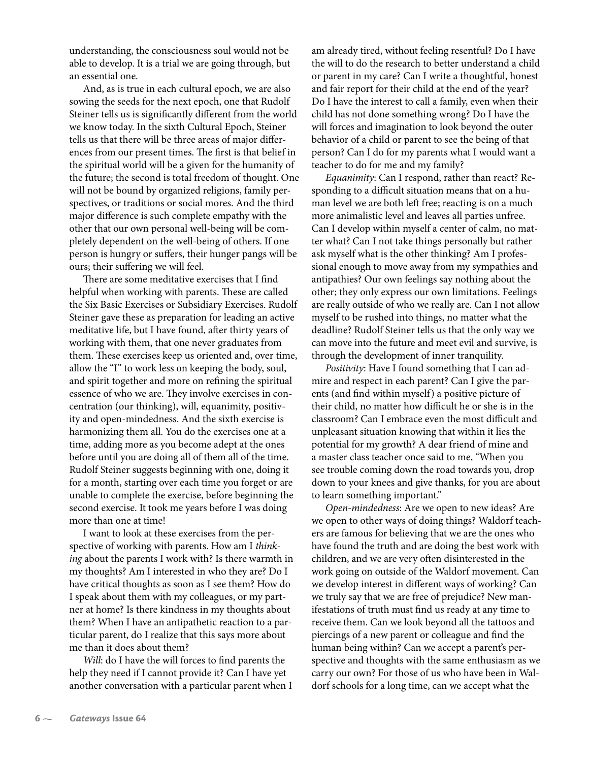understanding, the consciousness soul would not be able to develop. It is a trial we are going through, but an essential one.

And, as is true in each cultural epoch, we are also sowing the seeds for the next epoch, one that Rudolf Steiner tells us is significantly different from the world we know today. In the sixth Cultural Epoch, Steiner tells us that there will be three areas of major differences from our present times. The first is that belief in the spiritual world will be a given for the humanity of the future; the second is total freedom of thought. One will not be bound by organized religions, family perspectives, or traditions or social mores. And the third major difference is such complete empathy with the other that our own personal well-being will be completely dependent on the well-being of others. If one person is hungry or suffers, their hunger pangs will be ours; their suffering we will feel.

There are some meditative exercises that I find helpful when working with parents. These are called the Six Basic Exercises or Subsidiary Exercises. Rudolf Steiner gave these as preparation for leading an active meditative life, but I have found, after thirty years of working with them, that one never graduates from them. These exercises keep us oriented and, over time, allow the "I" to work less on keeping the body, soul, and spirit together and more on refining the spiritual essence of who we are. They involve exercises in concentration (our thinking), will, equanimity, positivity and open-mindedness. And the sixth exercise is harmonizing them all. You do the exercises one at a time, adding more as you become adept at the ones before until you are doing all of them all of the time. Rudolf Steiner suggests beginning with one, doing it for a month, starting over each time you forget or are unable to complete the exercise, before beginning the second exercise. It took me years before I was doing more than one at time!

I want to look at these exercises from the perspective of working with parents. How am I thinking about the parents I work with? Is there warmth in my thoughts? Am I interested in who they are? Do I have critical thoughts as soon as I see them? How do I speak about them with my colleagues, or my partner at home? Is there kindness in my thoughts about them? When I have an antipathetic reaction to a particular parent, do I realize that this says more about me than it does about them?

Will: do I have the will forces to find parents the help they need if I cannot provide it? Can I have yet another conversation with a particular parent when I am already tired, without feeling resentful? Do I have the will to do the research to better understand a child or parent in my care? Can I write a thoughtful, honest and fair report for their child at the end of the year? Do I have the interest to call a family, even when their child has not done something wrong? Do I have the will forces and imagination to look beyond the outer behavior of a child or parent to see the being of that person? Can I do for my parents what I would want a teacher to do for me and my family?

Equanimity: Can I respond, rather than react? Responding to a difficult situation means that on a human level we are both left free; reacting is on a much more animalistic level and leaves all parties unfree. Can I develop within myself a center of calm, no matter what? Can I not take things personally but rather ask myself what is the other thinking? Am I professional enough to move away from my sympathies and antipathies? Our own feelings say nothing about the other; they only express our own limitations. Feelings are really outside of who we really are. Can I not allow myself to be rushed into things, no matter what the deadline? Rudolf Steiner tells us that the only way we can move into the future and meet evil and survive, is through the development of inner tranquility.

Positivity: Have I found something that I can admire and respect in each parent? Can I give the parents (and find within myself) a positive picture of their child, no matter how difficult he or she is in the classroom? Can I embrace even the most difficult and unpleasant situation knowing that within it lies the potential for my growth? A dear friend of mine and a master class teacher once said to me, "When you see trouble coming down the road towards you, drop down to your knees and give thanks, for you are about to learn something important."

Open-mindedness: Are we open to new ideas? Are we open to other ways of doing things? Waldorf teachers are famous for believing that we are the ones who have found the truth and are doing the best work with children, and we are very often disinterested in the work going on outside of the Waldorf movement. Can we develop interest in different ways of working? Can we truly say that we are free of prejudice? New manifestations of truth must find us ready at any time to receive them. Can we look beyond all the tattoos and piercings of a new parent or colleague and find the human being within? Can we accept a parent's perspective and thoughts with the same enthusiasm as we carry our own? For those of us who have been in Waldorf schools for a long time, can we accept what the